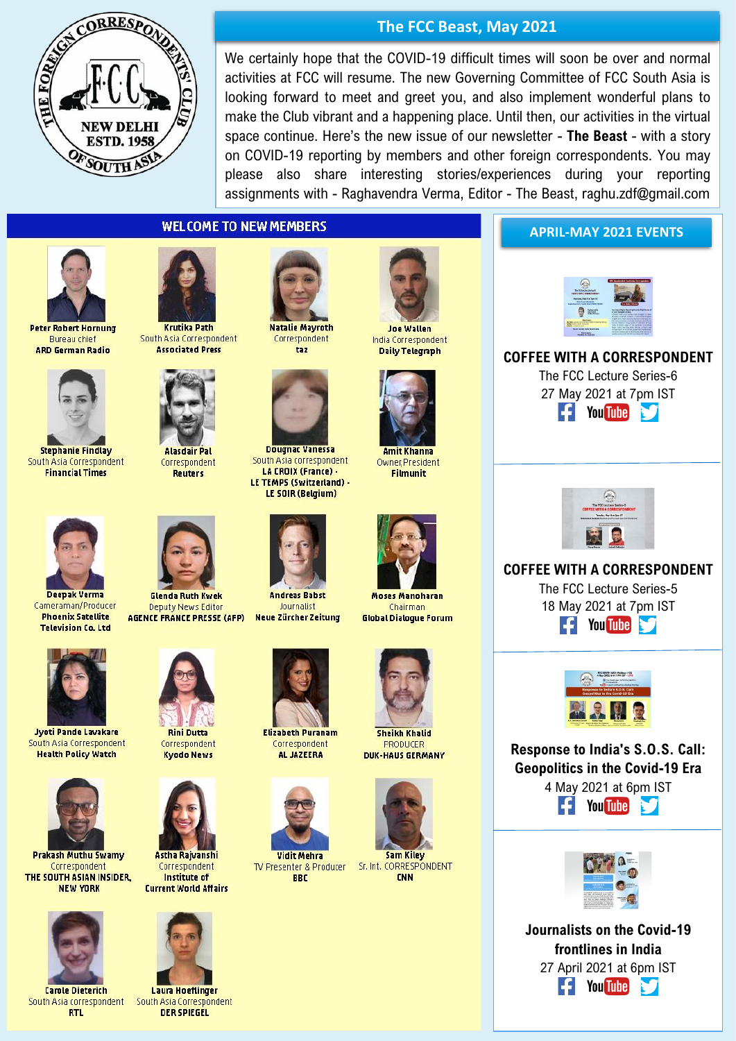

**The FCC Beast, May 2021**

We certainly hope that the COVID-19 difficult times will soon be over and normal activities at FCC will resume. The new Governing Committee of FCC South Asia is looking forward to meet and greet you, and also implement wonderful plans to make the Club vibrant and a happening place. Until then, our activities in the virtual space continue. Here's the new issue of our newsletter - **The Beast** - with a story on COVID-19 reporting by members and other foreign correspondents. You may please also share interesting stories/experiences during your reporting assignments with - Raghavendra Verma, Editor - The Beast, raghu.zdf@gmail.com

## **WELCOME TO NEW MEMBERS**



**Peter Robert Hornung Bureau chief ARD German Radio** 



**Stephanie Findlay** South Asia Correspondent **Financial Times** 





**Alasdair Pal** Correspondent Reuters



Correspondent  $t<sub>37</sub>$ 



Dougnac Vanessa South Asia correspondent LA CROIX (France) -LE TEMPS (Switzerland) -LE SOIR (Belgium)



**Andreas Rahst** Inurnalist **Neue Zürcher Zeitung** 





**Amit Khanna** Owner, President **Filmunit** 



**Moses Mangharan** Chairman



**Sheikh Khalid** 



TV Presenter & Producer **BBC** 



**PRODUCER DUK-HAUS GERMANY** 



Sr. Int. CORRESPONDENT **CNN** 

**APRIL-MAY 2021 EVENTS**



**COFFEE WITH A CORRESPONDENT**

The FCC Lecture Series-6 27 May 2021 at 7pm IST  $\left| \frac{1}{2} \right|$  You Tube N,



**COFFEE WITH A CORRESPONDENT**

The FCC Lecture Series-5 18 May 2021 at 7pm IST **F**You Tube



**Response to India's S.O.S. Call: Geopolitics in the Covid-19 Era** 4 May 2021 at 6pm IST **F** You Tube

| <b>Service And</b><br><b><i><u>ALCOHOL: N</u></i></b><br>--<br>-<br>me cars and<br>extractivities fut<br><b>ALCOHOL</b><br>n in |  |
|---------------------------------------------------------------------------------------------------------------------------------|--|

**Journalists on the Covid-19 frontlines in India** 27 April 2021 at 6pm IST **E** You Tube



Deepak Verma

Cameraman/Producer

**Phoenix Satellite** 

**Television Co. Ltd** 

**Jyoti Pande Lavakare** South Asia Correspondent **Health Policy Watch** 



**Prakash Muthu Swamv** Correspondent THE SOUTH ASIAN INSIDER, **NEW YORK** 



**Carole Dieterich** South Asia correspondent **RTL** 



**Glenda Ruth Kwek** 

**Deputy News Editor** 

**AGENCE FRANCE PRESSE (AFP)** 

**Rini Dutta** Correspondent **Kyndn News** 



Correspondent Institute of **Current World Affairs** 



**Laura Hoeflinger** South Asia Correspondent **DER SPIEGEL** 



**Elizabeth Puranam** Correspondent AL JAZEERA